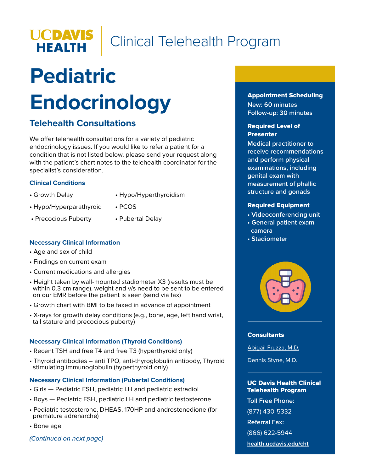

## Clinical Telehealth Program

# **Pediatric Endocrinology**

## **Telehealth Consultations**

We offer telehealth consultations for a variety of pediatric endocrinology issues. If you would like to refer a patient for a condition that is not listed below, please send your request along with the patient's chart notes to the telehealth coordinator for the specialist's consideration.

#### **Clinical Conditions**

- 
- Growth Delay **•** Hypo/Hyperthyroidism
- **•** Hypo/Hyperparathyroid PCOS
- Precocious Puberty **•** Pubertal Delay

#### **Necessary Clinical Information**

- Age and sex of child
- Findings on current exam
- Current medications and allergies
- Height taken by wall-mounted stadiometer X3 (results must be within 0.3 cm range), weight and v/s need to be sent to be entered on our EMR before the patient is seen (send via fax)
- Growth chart with BMI to be faxed in advance of appointment
- X-rays for growth delay conditions (e.g., bone, age, left hand wrist, tall stature and precocious puberty)

#### **Necessary Clinical Information (Thyroid Conditions)**

- Recent TSH and free T4 and free T3 (hyperthyroid only)
- Thyroid antibodies anti TPO, anti-thyroglobulin antibody, Thyroid stimulating immunoglobulin (hyperthyroid only)

#### **Necessary Clinical Information (Pubertal Conditions)**

- Girls Pediatric FSH, pediatric LH and pediatric estradiol
- Boys Pediatric FSH, pediatric LH and pediatric testosterone
- Pediatric testosterone, DHEAS, 170HP and androstenedione (for premature adrenarche)

• Bone age

*(Continued on next page)*

#### Appointment Scheduling

**New: 60 minutes Follow-up: 30 minutes**

#### Required Level of Presenter

**Medical practitioner to receive recommendations and perform physical examinations, including genital exam with measurement of phallic structure and gonads**

#### Required Equipment

- **Videoconferencing unit**
- **General patient exam camera**
- **Stadiometer**



#### **Consultants**

[Abigail Fruzza, M.D.](https://physicians.ucdavis.edu/details/11723/abigail-fruzza-pediatric_endocrinology-sacramento?FreeText:Last+name=Fruzza)

[Dennis Styne, M.D.](https://physicians.ucdavis.edu/details/188/dennis-styne-pediatric_endocrinology-sacramento?FreeText:Last+name=Styne)

#### UC Davis Health Clinical Telehealth Program

**Toll Free Phone:**

(877) 430-5332

**Referral Fax:** 

(866) 622-5944

**[health.ucdavis.edu/cht](https://health.ucdavis.edu/cht/clinic/)**